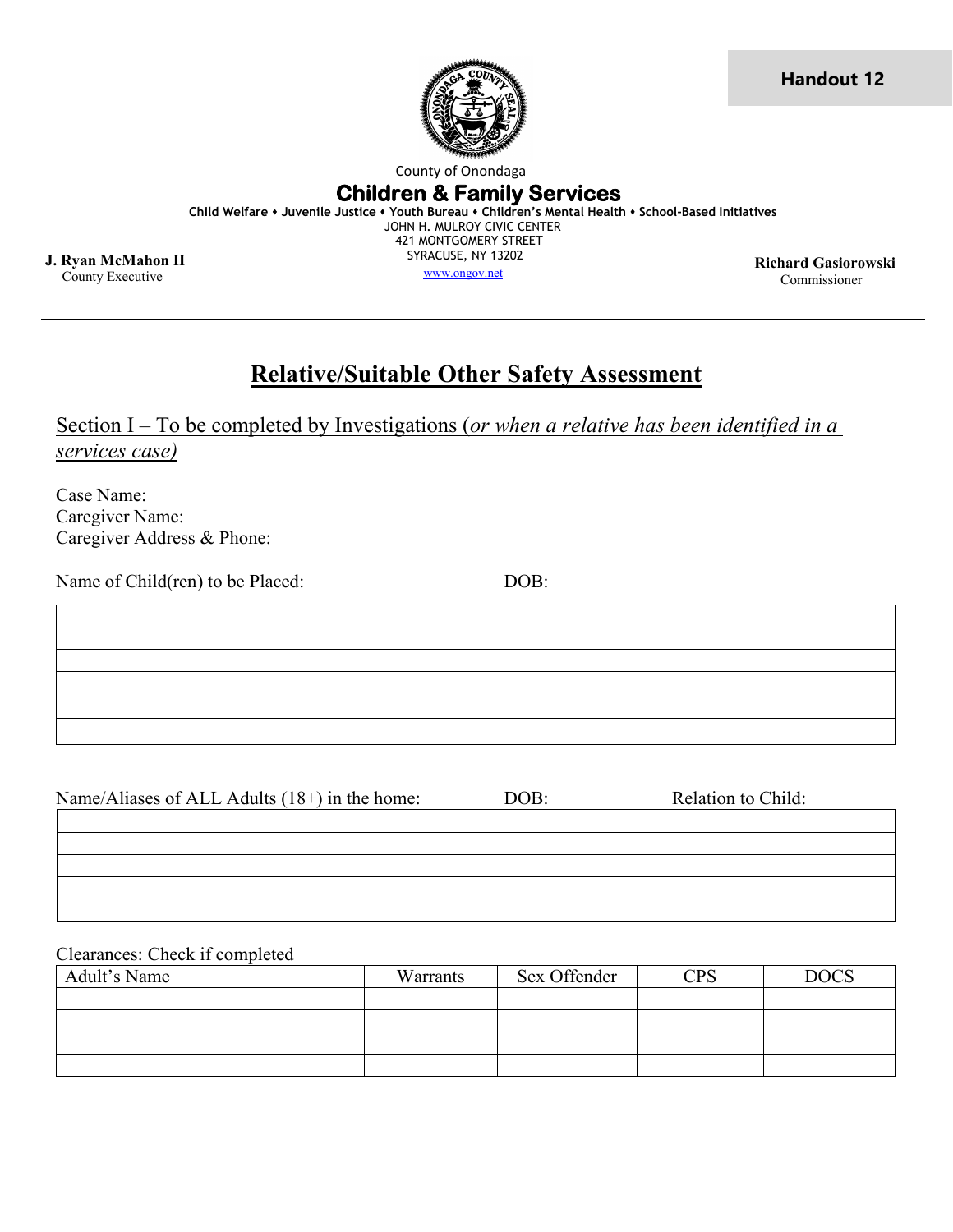

**Handout 12**

County of Onondaga

#### **Children & Family Services**

**Child Welfare Juvenile Justice Youth Bureau Children's Mental Health School-Based Initiatives**

 JOHN H. MULROY CIVIC CENTER 421 MONTGOMERY STREET SYRACUSE, NY 13202

**J. Ryan McMahon II** County Executive

**Ryan McMahon II Richard Gasiorowski**<br>County Executive **Richard Gasiorowski**<br>County Executive **Richard Gasiorowski** Commissioner **Richard Gasiorowski** 

# **Relative/Suitable Other Safety Assessment**

Section I – To be completed by Investigations (*or when a relative has been identified in a services case)*

Case Name: Caregiver Name: Caregiver Address & Phone:

Name of Child(ren) to be Placed: DOB:

Name/Aliases of ALL Adults (18+) in the home: DOB: Relation to Child:

Clearances: Check if completed

| Adult's Name | Warrants | Sex Offender | <b>CPS</b> | <b>DOCS</b> |
|--------------|----------|--------------|------------|-------------|
|              |          |              |            |             |
|              |          |              |            |             |
|              |          |              |            |             |
|              |          |              |            |             |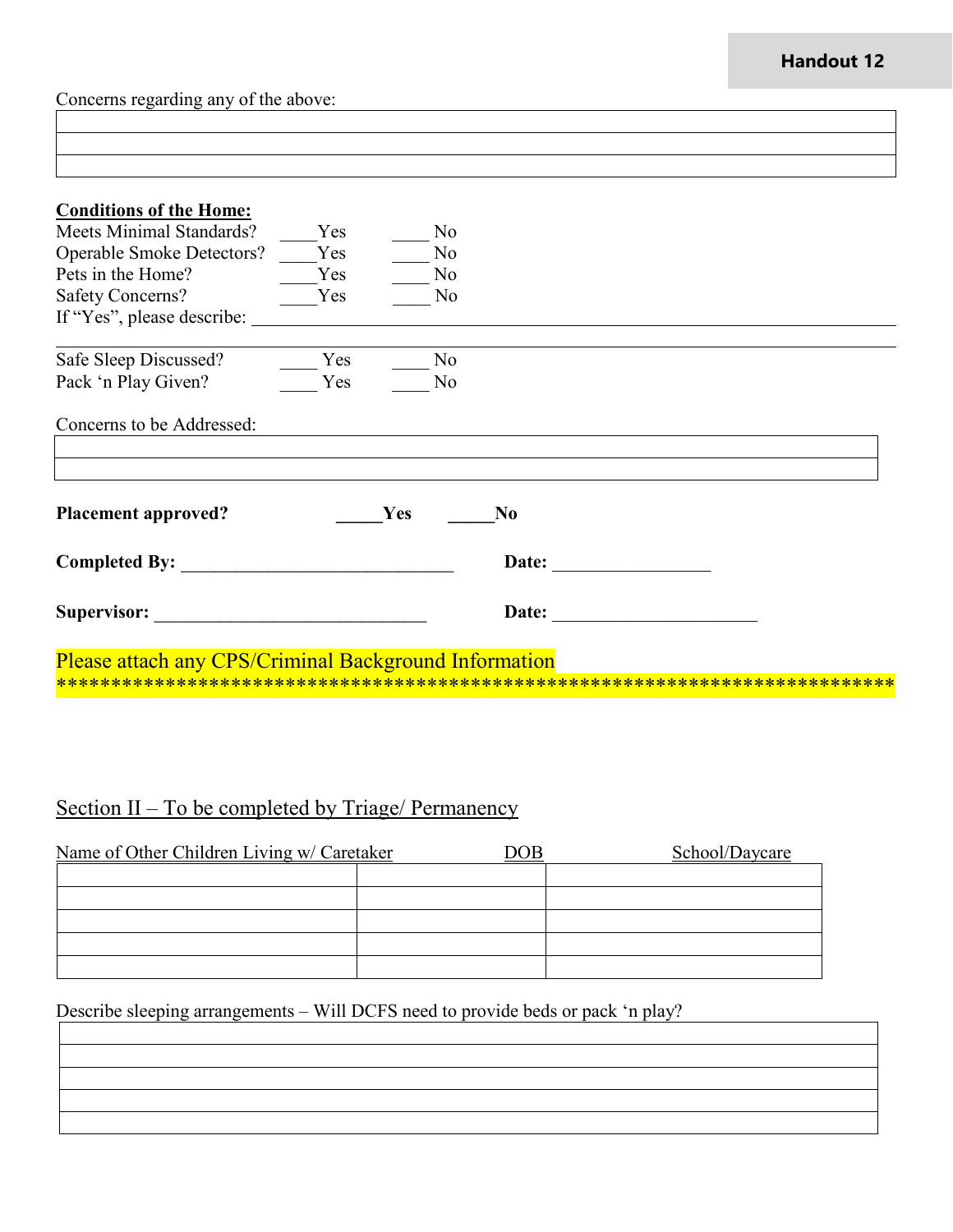### **Handout 12**

Concerns regarding any of the above:

| Concerns to be Addressed:  |            |                |  |
|----------------------------|------------|----------------|--|
|                            |            |                |  |
| <b>Placement approved?</b> | <b>Yes</b> | N <sub>0</sub> |  |
| <b>Completed By:</b>       |            | Date:          |  |
| Supervisor:                |            | Date:          |  |

## Section II – To be completed by Triage/ Permanency

| Name of Other Children Living w/ Caretaker |  | School/Daycare |
|--------------------------------------------|--|----------------|
|                                            |  |                |
|                                            |  |                |
|                                            |  |                |
|                                            |  |                |
|                                            |  |                |

Describe sleeping arrangements – Will DCFS need to provide beds or pack 'n play?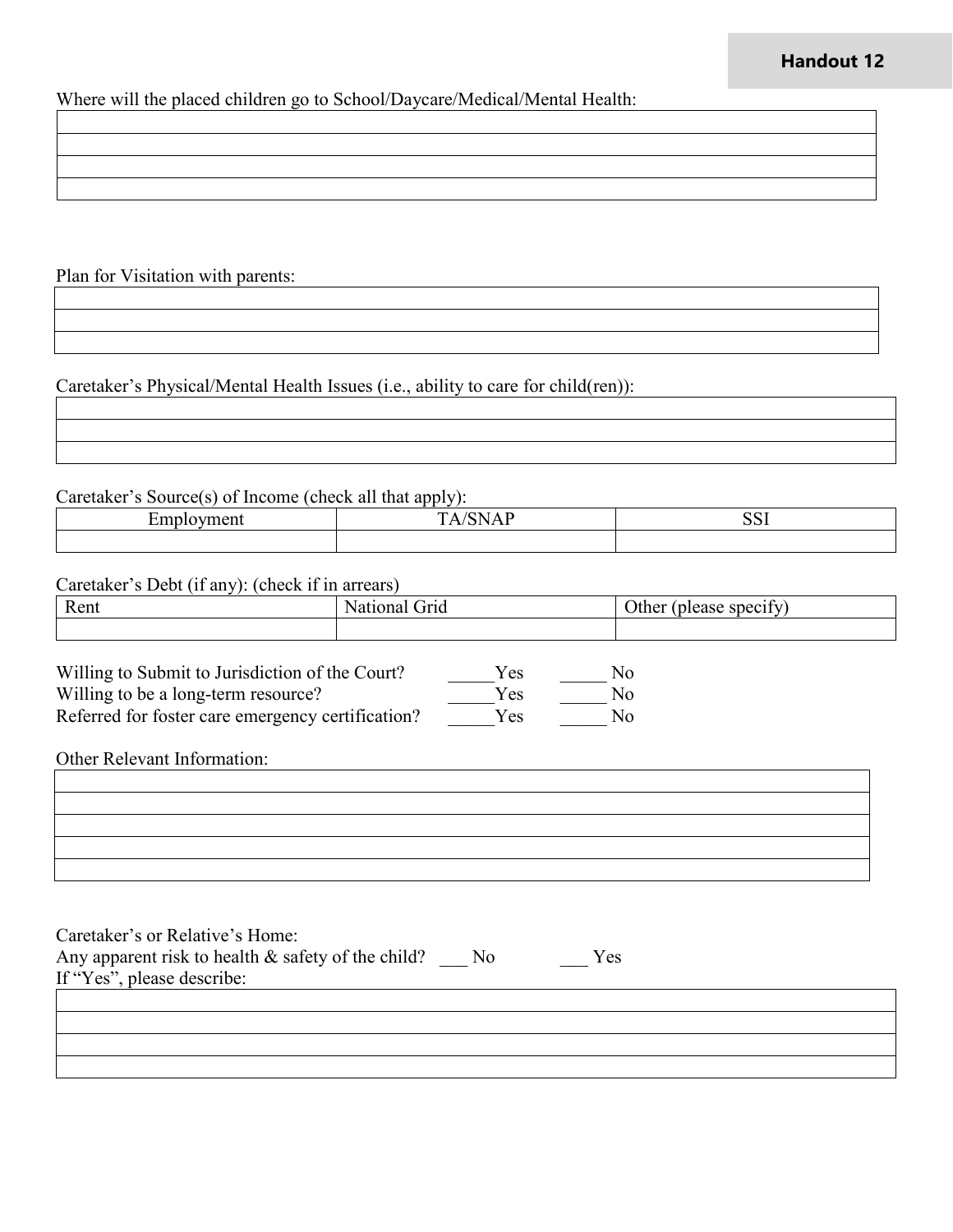#### **Handout 12**

Where will the placed children go to School/Daycare/Medical/Mental Health:

Plan for Visitation with parents:

Caretaker's Physical/Mental Health Issues (i.e., ability to care for child(ren)):

Caretaker's Source(s) of Income (check all that apply):

| -<br>$\overline{ }$ |  |
|---------------------|--|
|                     |  |

Caretaker's Debt (if any): (check if in arrears)

| Rent | Nationa<br>uria<br>юна | $\sim$<br>Other<br>tv<br>spec <sub>1</sub> t<br>0.000<br>.case |
|------|------------------------|----------------------------------------------------------------|
|      |                        |                                                                |

| Willing to Submit to Jurisdiction of the Court?   | Yes  | No. |
|---------------------------------------------------|------|-----|
| Willing to be a long-term resource?               | Yes  | No. |
| Referred for foster care emergency certification? | Yes. | No. |

Other Relevant Information:

| Caretaker's or Relative's Home:<br>Any apparent risk to health & safety of the child?<br>If "Yes", please describe: | No. | Yes |  |
|---------------------------------------------------------------------------------------------------------------------|-----|-----|--|
|                                                                                                                     |     |     |  |
|                                                                                                                     |     |     |  |